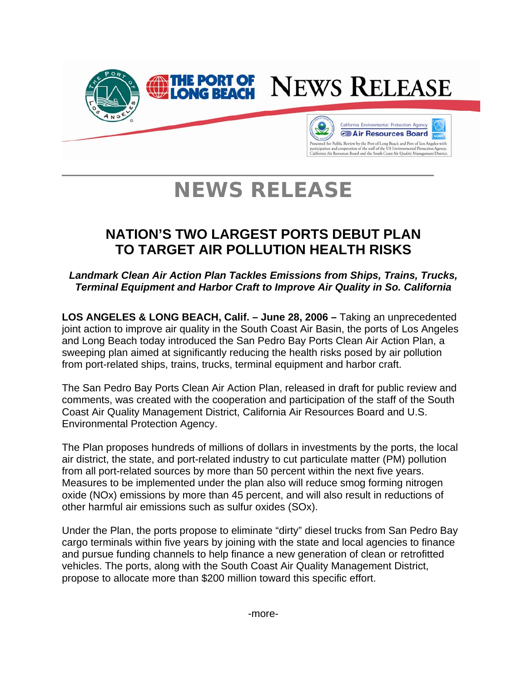

## **NEWS RELEASE**

### **NATION'S TWO LARGEST PORTS DEBUT PLAN TO TARGET AIR POLLUTION HEALTH RISKS**

*Landmark Clean Air Action Plan Tackles Emissions from Ships, Trains, Trucks, Terminal Equipment and Harbor Craft to Improve Air Quality in So. California* 

**LOS ANGELES & LONG BEACH, Calif. – June 28, 2006 –** Taking an unprecedented joint action to improve air quality in the South Coast Air Basin, the ports of Los Angeles and Long Beach today introduced the San Pedro Bay Ports Clean Air Action Plan, a sweeping plan aimed at significantly reducing the health risks posed by air pollution from port-related ships, trains, trucks, terminal equipment and harbor craft.

The San Pedro Bay Ports Clean Air Action Plan, released in draft for public review and comments, was created with the cooperation and participation of the staff of the South Coast Air Quality Management District, California Air Resources Board and U.S. Environmental Protection Agency.

The Plan proposes hundreds of millions of dollars in investments by the ports, the local air district, the state, and port-related industry to cut particulate matter (PM) pollution from all port-related sources by more than 50 percent within the next five years. Measures to be implemented under the plan also will reduce smog forming nitrogen oxide (NOx) emissions by more than 45 percent, and will also result in reductions of other harmful air emissions such as sulfur oxides (SOx).

Under the Plan, the ports propose to eliminate "dirty" diesel trucks from San Pedro Bay cargo terminals within five years by joining with the state and local agencies to finance and pursue funding channels to help finance a new generation of clean or retrofitted vehicles. The ports, along with the South Coast Air Quality Management District, propose to allocate more than \$200 million toward this specific effort.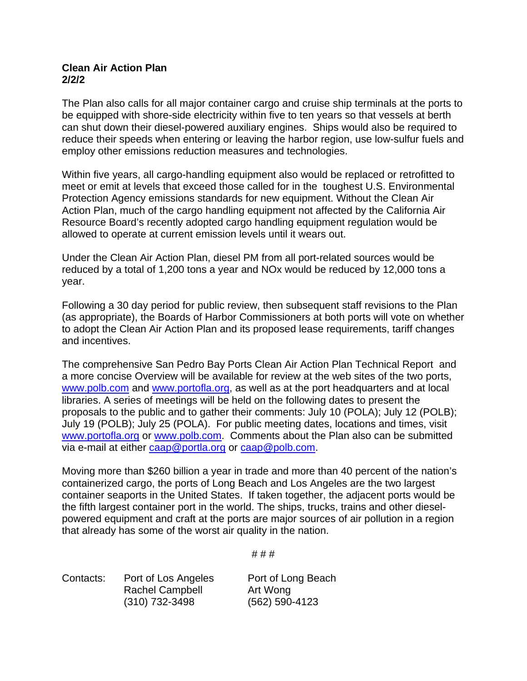#### **Clean Air Action Plan 2/2/2**

The Plan also calls for all major container cargo and cruise ship terminals at the ports to be equipped with shore-side electricity within five to ten years so that vessels at berth can shut down their diesel-powered auxiliary engines. Ships would also be required to reduce their speeds when entering or leaving the harbor region, use low-sulfur fuels and employ other emissions reduction measures and technologies.

Within five years, all cargo-handling equipment also would be replaced or retrofitted to meet or emit at levels that exceed those called for in the toughest U.S. Environmental Protection Agency emissions standards for new equipment. Without the Clean Air Action Plan, much of the cargo handling equipment not affected by the California Air Resource Board's recently adopted cargo handling equipment regulation would be allowed to operate at current emission levels until it wears out.

Under the Clean Air Action Plan, diesel PM from all port-related sources would be reduced by a total of 1,200 tons a year and NOx would be reduced by 12,000 tons a year.

Following a 30 day period for public review, then subsequent staff revisions to the Plan (as appropriate), the Boards of Harbor Commissioners at both ports will vote on whether to adopt the Clean Air Action Plan and its proposed lease requirements, tariff changes and incentives.

The comprehensive San Pedro Bay Ports Clean Air Action Plan Technical Report and a more concise Overview will be available for review at the web sites of the two ports, [www.polb.com](http://www.polb.com/) and [www.portofla.org,](http://www.portofla.org/) as well as at the port headquarters and at local libraries. A series of meetings will be held on the following dates to present the proposals to the public and to gather their comments: July 10 (POLA); July 12 (POLB); July 19 (POLB); July 25 (POLA). For public meeting dates, locations and times, visit [www.portofla.org](http://www.portofla.org/) or [www.polb.com](http://www.polb.com/). Comments about the Plan also can be submitted via e-mail at either [caap@portla.org](mailto:caap@portla.org) or [caap@polb.com](mailto:caap@polb.com).

Moving more than \$260 billion a year in trade and more than 40 percent of the nation's containerized cargo, the ports of Long Beach and Los Angeles are the two largest container seaports in the United States. If taken together, the adjacent ports would be the fifth largest container port in the world. The ships, trucks, trains and other dieselpowered equipment and craft at the ports are major sources of air pollution in a region that already has some of the worst air quality in the nation.

# # #

Contacts: Port of Los Angeles Port of Long Beach Rachel Campbell **Art Wong** (310) 732-3498 (562) 590-4123